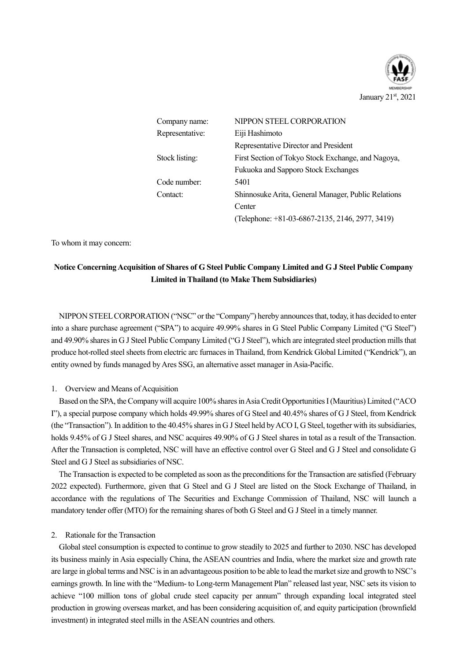

| Company name:   | NIPPON STEEL CORPORATION                            |  |  |
|-----------------|-----------------------------------------------------|--|--|
| Representative: | Eiji Hashimoto                                      |  |  |
|                 | Representative Director and President               |  |  |
| Stock listing:  | First Section of Tokyo Stock Exchange, and Nagoya,  |  |  |
|                 | Fukuoka and Sapporo Stock Exchanges                 |  |  |
| Code number:    | 5401                                                |  |  |
| Contact:        | Shinnosuke Arita, General Manager, Public Relations |  |  |
|                 | Center                                              |  |  |
|                 | (Telephone: +81-03-6867-2135, 2146, 2977, 3419)     |  |  |

To whom it may concern:

## **Notice ConcerningAcquisition of Shares of G Steel Public Company Limited and G J Steel Public Company Limited in Thailand (to Make Them Subsidiaries)**

NIPPON STEEL CORPORATION ("NSC" or the "Company") hereby announces that, today, it has decided to enter into a share purchase agreement ("SPA") to acquire 49.99% shares in G Steel Public Company Limited ("G Steel") and 49.90% shares in G J Steel Public Company Limited ("G J Steel"), which are integrated steel production mills that produce hot-rolled steel sheets from electric arc furnaces in Thailand, from Kendrick Global Limited ("Kendrick"), an entity owned by funds managed by Ares SSG, an alternative asset manager in Asia-Pacific.

#### 1. Overview and Means of Acquisition

Based on the SPA, the Company will acquire 100% shares in Asia Credit Opportunities I (Mauritius) Limited ("ACO I"), a special purpose company which holds 49.99% shares of G Steel and 40.45% shares of G J Steel, from Kendrick (the "Transaction"). In addition to the 40.45% shares in G J Steel held by ACO I, G Steel, together with its subsidiaries, holds 9.45% of G J Steel shares, and NSC acquires 49.90% of G J Steel shares in total as a result of the Transaction. After the Transaction is completed, NSC will have an effective control over G Steel and G J Steel and consolidate G Steel and G J Steel as subsidiaries of NSC.

The Transaction is expected to be completed as soon as the preconditions for the Transaction are satisfied (February 2022 expected). Furthermore, given that G Steel and G J Steel are listed on the Stock Exchange of Thailand, in accordance with the regulations of The Securities and Exchange Commission of Thailand, NSC will launch a mandatory tender offer (MTO) for the remaining shares of both G Steel and G J Steel in a timely manner.

#### 2. Rationale for the Transaction

Global steel consumption is expected to continue to grow steadily to 2025 and further to 2030. NSC has developed its business mainly in Asia especially China, the ASEAN countries and India, where the market size and growth rate are large in global terms and NSC is in an advantageous position to be able to lead the market size and growth to NSC's earnings growth. In line with the "Medium- to Long-term Management Plan" released last year, NSC sets its vision to achieve "100 million tons of global crude steel capacity per annum" through expanding local integrated steel production in growing overseas market, and has been considering acquisition of, and equity participation (brownfield investment) in integrated steel mills in the ASEAN countries and others.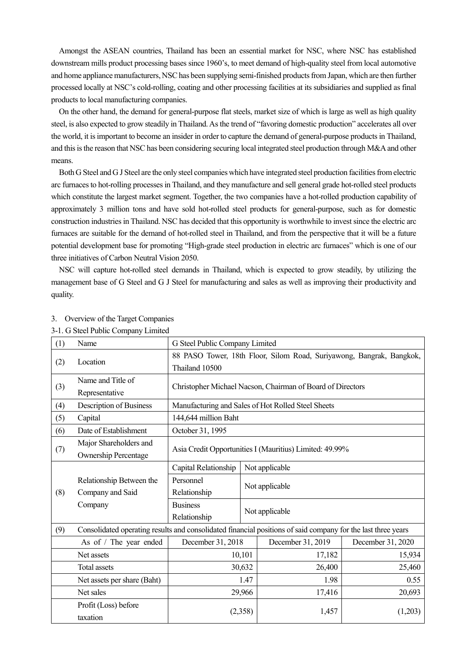Amongst the ASEAN countries, Thailand has been an essential market for NSC, where NSC has established downstream mills product processing bases since 1960's, to meet demand of high-quality steel from local automotive and home appliance manufacturers, NSC has been supplying semi-finished products from Japan, which are then further processed locally at NSC's cold-rolling, coating and other processing facilities at its subsidiaries and supplied as final products to local manufacturing companies.

On the other hand, the demand for general-purpose flat steels, market size of which is large as well as high quality steel, is also expected to grow steadily in Thailand. As the trend of "favoring domestic production" accelerates all over the world, it is important to become an insider in order to capture the demand of general-purpose products in Thailand, and this is the reason that NSC has been considering securing local integrated steel production through M&A and other means.

Both G Steel and G J Steel are the only steel companies which have integrated steel production facilities from electric arc furnaces to hot-rolling processes in Thailand, and they manufacture and sell general grade hot-rolled steel products which constitute the largest market segment. Together, the two companies have a hot-rolled production capability of approximately 3 million tons and have sold hot-rolled steel products for general-purpose, such as for domestic construction industries in Thailand. NSC has decided that this opportunity is worthwhile to invest since the electric arc furnaces are suitable for the demand of hot-rolled steel in Thailand, and from the perspective that it will be a future potential development base for promoting "High-grade steel production in electric arc furnaces" which is one of our three initiatives of Carbon Neutral Vision 2050.

NSC will capture hot-rolled steel demands in Thailand, which is expected to grow steadily, by utilizing the management base of G Steel and G J Steel for manufacturing and sales as well as improving their productivity and quality.

|     | 3-1. G Steel Public Company Limited                                                                          |                                                                                        |                |                                                    |                   |  |  |
|-----|--------------------------------------------------------------------------------------------------------------|----------------------------------------------------------------------------------------|----------------|----------------------------------------------------|-------------------|--|--|
| (1) | Name                                                                                                         | G Steel Public Company Limited                                                         |                |                                                    |                   |  |  |
| (2) | Location                                                                                                     | 88 PASO Tower, 18th Floor, Silom Road, Suriyawong, Bangrak, Bangkok,<br>Thailand 10500 |                |                                                    |                   |  |  |
| (3) | Name and Title of<br>Representative                                                                          | Christopher Michael Nacson, Chairman of Board of Directors                             |                |                                                    |                   |  |  |
| (4) | Description of Business                                                                                      |                                                                                        |                | Manufacturing and Sales of Hot Rolled Steel Sheets |                   |  |  |
| (5) | Capital                                                                                                      | 144,644 million Baht                                                                   |                |                                                    |                   |  |  |
| (6) | Date of Establishment                                                                                        | October 31, 1995                                                                       |                |                                                    |                   |  |  |
| (7) | Major Shareholders and<br><b>Ownership Percentage</b>                                                        | Asia Credit Opportunities I (Mauritius) Limited: 49.99%                                |                |                                                    |                   |  |  |
|     |                                                                                                              | Capital Relationship                                                                   |                | Not applicable                                     |                   |  |  |
|     | Relationship Between the                                                                                     | Personnel                                                                              | Not applicable |                                                    |                   |  |  |
| (8) | Company and Said                                                                                             | Relationship                                                                           |                |                                                    |                   |  |  |
|     | Company                                                                                                      | <b>Business</b><br>Relationship                                                        |                | Not applicable                                     |                   |  |  |
| (9) | Consolidated operating results and consolidated financial positions of said company for the last three years |                                                                                        |                |                                                    |                   |  |  |
|     | As of / The year ended                                                                                       | December 31, 2018                                                                      |                | December 31, 2019                                  | December 31, 2020 |  |  |
|     | Net assets                                                                                                   |                                                                                        | 10,101         | 17,182                                             | 15,934            |  |  |
|     | Total assets                                                                                                 | 30,632                                                                                 |                | 26,400                                             | 25,460            |  |  |
|     | Net assets per share (Baht)                                                                                  | 1.47                                                                                   |                | 1.98                                               | 0.55              |  |  |
|     | Net sales                                                                                                    | 29,966                                                                                 |                | 17,416                                             | 20,693            |  |  |
|     | Profit (Loss) before<br>taxation                                                                             | (2,358)                                                                                |                | 1,457                                              | (1,203)           |  |  |

### 3. Overview of the Target Companies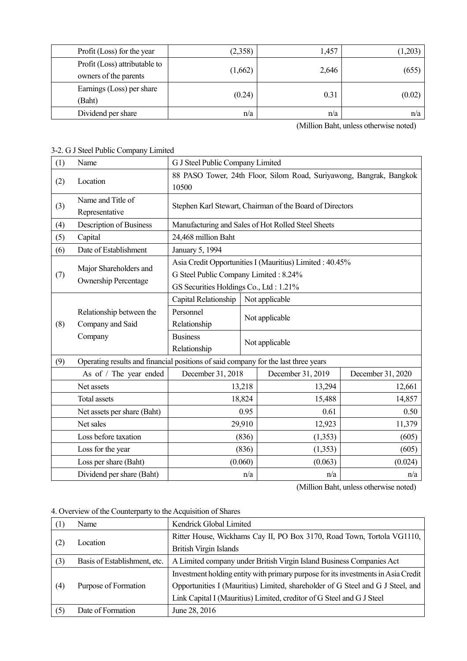| Profit (Loss) for the year    | (2,358) | 1,457 | 1,203  |
|-------------------------------|---------|-------|--------|
| Profit (Loss) attributable to |         |       | (655)  |
| owners of the parents         | (1,662) | 2,646 |        |
| Earnings (Loss) per share     | (0.24)  | 0.31  |        |
| (Baht)                        |         |       | (0.02) |
| Dividend per share            | n/a     | n/a   | n/a    |

(Million Baht, unless otherwise noted)

## 3-2. G J Steel Public Company Limited

| (1) | Name                                                                               | G J Steel Public Company Limited                                                                                                           |        |                                                          |                   |  |
|-----|------------------------------------------------------------------------------------|--------------------------------------------------------------------------------------------------------------------------------------------|--------|----------------------------------------------------------|-------------------|--|
| (2) | Location                                                                           | 88 PASO Tower, 24th Floor, Silom Road, Suriyawong, Bangrak, Bangkok<br>10500                                                               |        |                                                          |                   |  |
| (3) | Name and Title of<br>Representative                                                |                                                                                                                                            |        | Stephen Karl Stewart, Chairman of the Board of Directors |                   |  |
| (4) | Description of Business                                                            |                                                                                                                                            |        | Manufacturing and Sales of Hot Rolled Steel Sheets       |                   |  |
| (5) | Capital                                                                            | 24,468 million Baht                                                                                                                        |        |                                                          |                   |  |
| (6) | Date of Establishment                                                              | January 5, 1994                                                                                                                            |        |                                                          |                   |  |
| (7) | Major Shareholders and<br><b>Ownership Percentage</b>                              | Asia Credit Opportunities I (Mauritius) Limited: 40.45%<br>G Steel Public Company Limited: 8.24%<br>GS Securities Holdings Co., Ltd: 1.21% |        |                                                          |                   |  |
|     |                                                                                    | Capital Relationship<br>Not applicable                                                                                                     |        |                                                          |                   |  |
| (8) | Relationship between the<br>Company and Said                                       | Personnel<br>Not applicable<br>Relationship<br><b>Business</b><br>Not applicable<br>Relationship                                           |        |                                                          |                   |  |
|     | Company                                                                            |                                                                                                                                            |        |                                                          |                   |  |
| (9) | Operating results and financial positions of said company for the last three years |                                                                                                                                            |        |                                                          |                   |  |
|     | As of / The year ended                                                             | December 31, 2018                                                                                                                          |        | December 31, 2019                                        | December 31, 2020 |  |
|     | Net assets                                                                         |                                                                                                                                            | 13,218 | 13,294                                                   | 12,661            |  |
|     | Total assets                                                                       |                                                                                                                                            | 18,824 | 15,488                                                   | 14,857            |  |
|     | Net assets per share (Baht)                                                        | 0.95                                                                                                                                       |        | 0.61                                                     | 0.50              |  |
|     | Net sales                                                                          | 29,910                                                                                                                                     |        | 12,923                                                   | 11,379            |  |
|     | Loss before taxation                                                               | (836)                                                                                                                                      |        | (1,353)                                                  | (605)             |  |
|     | Loss for the year                                                                  | (836)                                                                                                                                      |        | (1,353)                                                  | (605)             |  |
|     | Loss per share (Baht)                                                              | (0.060)                                                                                                                                    |        | (0.063)                                                  | (0.024)           |  |
|     | Dividend per share (Baht)                                                          | n/a                                                                                                                                        |        | n/a                                                      | n/a               |  |

(Million Baht, unless otherwise noted)

4. Overview of the Counterparty to the Acquisition of Shares

| (1) | Name                         | Kendrick Global Limited                                                           |  |
|-----|------------------------------|-----------------------------------------------------------------------------------|--|
|     | Location                     | Ritter House, Wickhams Cay II, PO Box 3170, Road Town, Tortola VG1110,            |  |
| (2) |                              | <b>British Virgin Islands</b>                                                     |  |
| (3) | Basis of Establishment, etc. | A Limited company under British Virgin Island Business Companies Act              |  |
|     | Purpose of Formation         | Investment holding entity with primary purpose for its investments in Asia Credit |  |
| (4) |                              | Opportunities I (Mauritius) Limited, shareholder of G Steel and G J Steel, and    |  |
|     |                              | Link Capital I (Mauritius) Limited, creditor of G Steel and G J Steel             |  |
| (5) | Date of Formation            | June 28, 2016                                                                     |  |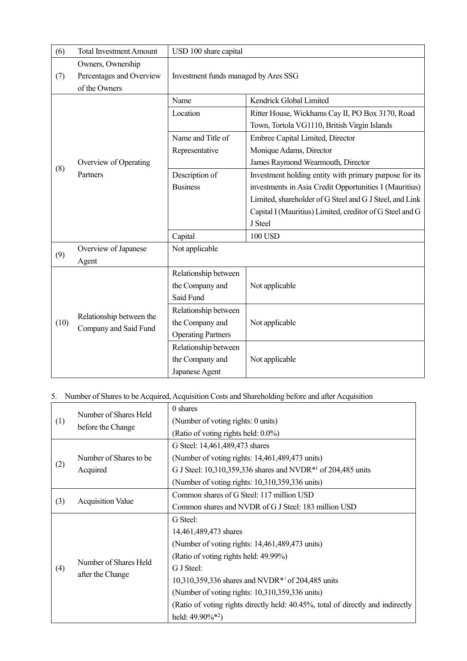| (6)  | <b>Total Investment Amount</b>                    | USD 100 share capital                |                                                          |  |
|------|---------------------------------------------------|--------------------------------------|----------------------------------------------------------|--|
| (7)  | Owners, Ownership<br>Percentages and Overview     | Investment funds managed by Ares SSG |                                                          |  |
|      | of the Owners                                     |                                      |                                                          |  |
|      |                                                   | Name                                 | Kendrick Global Limited                                  |  |
|      |                                                   | Location                             | Ritter House, Wickhams Cay II, PO Box 3170, Road         |  |
|      |                                                   |                                      | Town, Tortola VG1110, British Virgin Islands             |  |
|      |                                                   | Name and Title of                    | Embree Capital Limited, Director                         |  |
|      |                                                   | Representative                       | Monique Adams, Director                                  |  |
| (8)  | Overview of Operating                             |                                      | James Raymond Wearmouth, Director                        |  |
|      | Partners                                          | Description of                       | Investment holding entity with primary purpose for its   |  |
|      |                                                   | <b>Business</b>                      | investments in Asia Credit Opportunities I (Mauritius)   |  |
|      |                                                   |                                      | Limited, shareholder of G Steel and G J Steel, and Link  |  |
|      |                                                   |                                      | Capital I (Mauritius) Limited, creditor of G Steel and G |  |
|      |                                                   |                                      | J Steel                                                  |  |
|      |                                                   | Capital                              | <b>100 USD</b>                                           |  |
|      | Overview of Japanese                              | Not applicable                       |                                                          |  |
| (9)  | Agent                                             |                                      |                                                          |  |
|      |                                                   | Relationship between                 |                                                          |  |
|      |                                                   | the Company and                      | Not applicable                                           |  |
|      |                                                   | Said Fund                            |                                                          |  |
|      |                                                   | Relationship between                 |                                                          |  |
| (10) | Relationship between the<br>Company and Said Fund | the Company and                      | Not applicable                                           |  |
|      |                                                   | <b>Operating Partners</b>            |                                                          |  |
|      |                                                   | Relationship between                 |                                                          |  |
|      |                                                   | the Company and                      | Not applicable                                           |  |
|      |                                                   | Japanese Agent                       |                                                          |  |

# 5. Number of Shares to be Acquired, Acquisition Costs and Shareholding before and after Acquisition

| (1) | Number of Shares Held<br>before the Change | 0 shares                                                                        |
|-----|--------------------------------------------|---------------------------------------------------------------------------------|
|     |                                            | (Number of voting rights: 0 units)                                              |
|     |                                            | (Ratio of voting rights held: 0.0%)                                             |
|     |                                            | G Steel: 14,461,489,473 shares                                                  |
|     | Number of Shares to be.                    | (Number of voting rights: 14,461,489,473 units)                                 |
| (2) | Acquired                                   | G J Steel: 10,310,359,336 shares and NVDR <sup>*1</sup> of 204,485 units        |
|     |                                            | (Number of voting rights: 10,310,359,336 units)                                 |
|     | <b>Acquisition Value</b>                   | Common shares of G Steel: 117 million USD                                       |
| (3) |                                            | Common shares and NVDR of G J Steel: 183 million USD                            |
|     | Number of Shares Held<br>after the Change  | G Steel:                                                                        |
|     |                                            | 14,461,489,473 shares                                                           |
|     |                                            | (Number of voting rights: 14,461,489,473 units)                                 |
|     |                                            | (Ratio of voting rights held: 49.99%)                                           |
| (4) |                                            | G J Steel:                                                                      |
|     |                                            | 10,310,359,336 shares and NVDR <sup>*1</sup> of 204,485 units                   |
|     |                                            | (Number of voting rights: 10,310,359,336 units)                                 |
|     |                                            | (Ratio of voting rights directly held: 40.45%, total of directly and indirectly |
|     |                                            | held: $49.90\%*^2$ )                                                            |